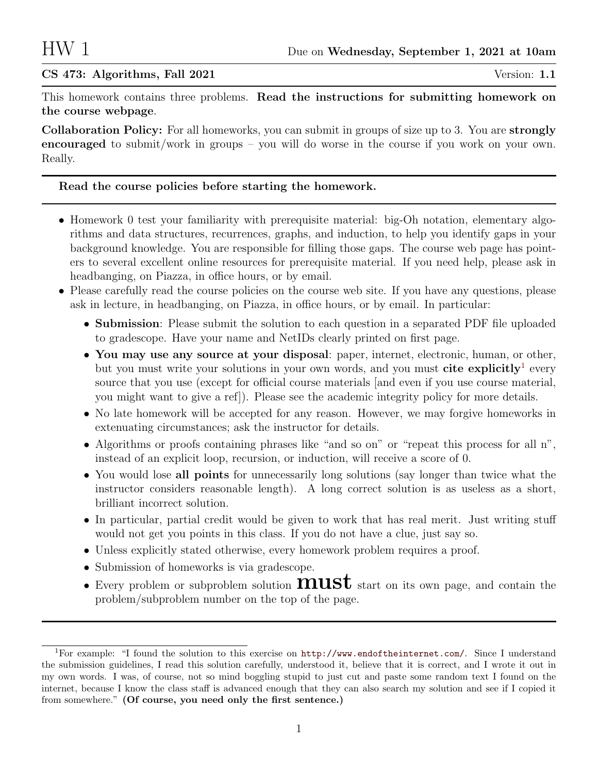## $CS$  473: Algorithms, Fall 2021  $\qquad \qquad$  Version: 1.1

This homework contains three problems. Read the instructions for submitting homework on the course webpage.

Collaboration Policy: For all homeworks, you can submit in groups of size up to 3. You are strongly encouraged to submit/work in groups – you will do worse in the course if you work on your own. Really.

## Read the course policies before starting the homework.

- Homework 0 test your familiarity with prerequisite material: big-Oh notation, elementary algorithms and data structures, recurrences, graphs, and induction, to help you identify gaps in your background knowledge. You are responsible for filling those gaps. The course web page has pointers to several excellent online resources for prerequisite material. If you need help, please ask in headbanging, on Piazza, in office hours, or by email.
- Please carefully read the course policies on the course web site. If you have any questions, please ask in lecture, in headbanging, on Piazza, in office hours, or by email. In particular:
	- Submission: Please submit the solution to each question in a separated PDF file uploaded to gradescope. Have your name and NetIDs clearly printed on first page.
	- You may use any source at your disposal: paper, internet, electronic, human, or other, but you must write your solutions in your own words, and you must cite explicitly<sup>[1](#page-0-0)</sup> every source that you use (except for official course materials [and even if you use course material, you might want to give a ref]). Please see the academic integrity policy for more details.
	- No late homework will be accepted for any reason. However, we may forgive homeworks in extenuating circumstances; ask the instructor for details.
	- Algorithms or proofs containing phrases like "and so on" or "repeat this process for all n", instead of an explicit loop, recursion, or induction, will receive a score of 0.
	- You would lose all points for unnecessarily long solutions (say longer than twice what the instructor considers reasonable length). A long correct solution is as useless as a short, brilliant incorrect solution.
	- In particular, partial credit would be given to work that has real merit. Just writing stuff would not get you points in this class. If you do not have a clue, just say so.
	- Unless explicitly stated otherwise, every homework problem requires a proof.
	- Submission of homeworks is via gradescope.
	- Every problem or subproblem solution **must** start on its own page, and contain the problem/subproblem number on the top of the page.

<span id="page-0-0"></span><sup>1</sup>For example: "I found the solution to this exercise on <http://www.endoftheinternet.com/>. Since I understand the submission guidelines, I read this solution carefully, understood it, believe that it is correct, and I wrote it out in my own words. I was, of course, not so mind boggling stupid to just cut and paste some random text I found on the internet, because I know the class staff is advanced enough that they can also search my solution and see if I copied it from somewhere." (Of course, you need only the first sentence.)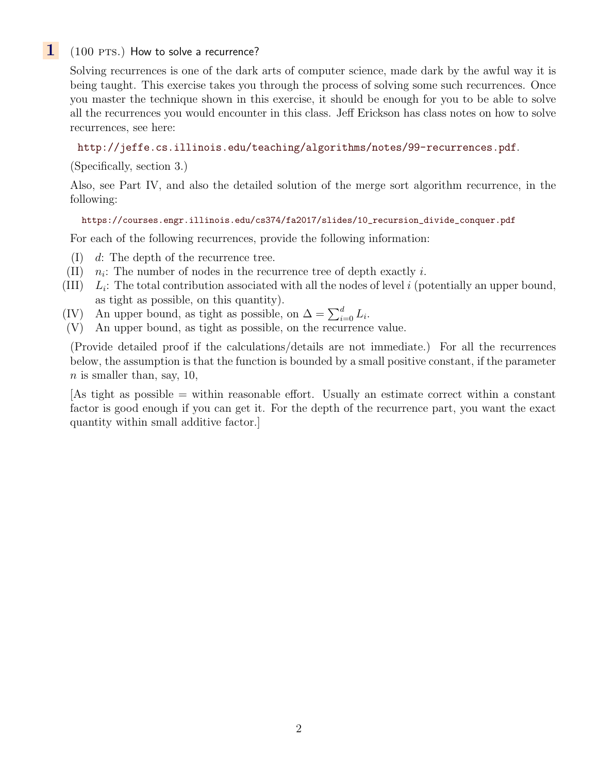# $1$  (100 PTS.) How to solve a recurrence?

Solving recurrences is one of the dark arts of computer science, made dark by the awful way it is being taught. This exercise takes you through the process of solving some such recurrences. Once you master the technique shown in this exercise, it should be enough for you to be able to solve all the recurrences you would encounter in this class. Jeff Erickson has class notes on how to solve recurrences, see here:

### <http://jeffe.cs.illinois.edu/teaching/algorithms/notes/99-recurrences.pdf>.

(Specifically, section 3.)

Also, see Part IV, and also the detailed solution of the merge sort algorithm recurrence, in the following:

#### [https://courses.engr.illinois.edu/cs374/fa2017/slides/10\\_recursion\\_divide\\_conquer.pdf](https://courses.engr.illinois.edu/cs374/fa2017/slides/10_recursion_divide_conquer.pdf)

For each of the following recurrences, provide the following information:

- (I) d: The depth of the recurrence tree.
- $(II)$  $n<sub>i</sub>$ : The number of nodes in the recurrence tree of depth exactly i.
- $(III)$  $L_i$ : The total contribution associated with all the nodes of level i (potentially an upper bound, as tight as possible, on this quantity).
- (IV) An upper bound, as tight as possible, on  $\Delta = \sum_{i=0}^{d} L_i$ .
- (V) An upper bound, as tight as possible, on the recurrence value.

(Provide detailed proof if the calculations/details are not immediate.) For all the recurrences below, the assumption is that the function is bounded by a small positive constant, if the parameter  $n$  is smaller than, say, 10,

[As tight as possible = within reasonable effort. Usually an estimate correct within a constant factor is good enough if you can get it. For the depth of the recurrence part, you want the exact quantity within small additive factor.]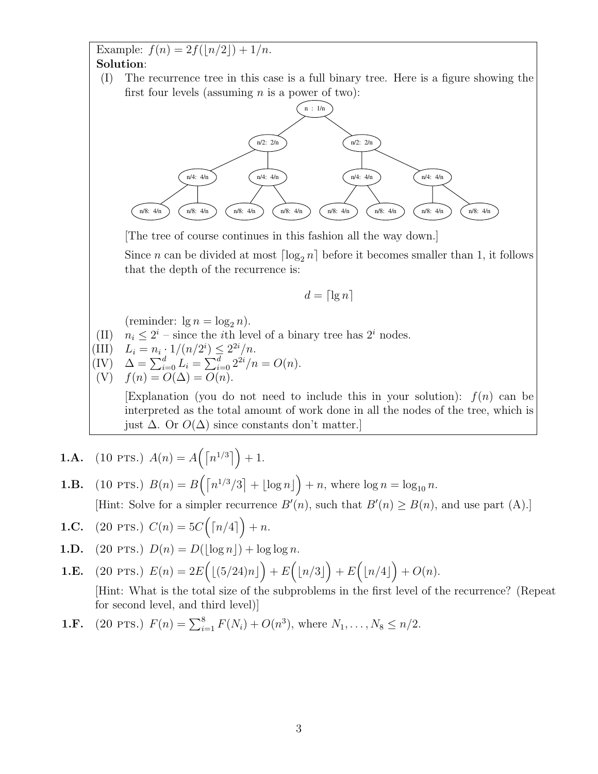Example:  $f(n) = 2f(|n/2|) + 1/n$ . Solution:

(I) The recurrence tree in this case is a full binary tree. Here is a figure showing the first four levels (assuming  $n$  is a power of two):



[The tree of course continues in this fashion all the way down.]

Since *n* can be divided at most  $\lceil \log_2 n \rceil$  before it becomes smaller than 1, it follows that the depth of the recurrence is:

$$
d = \lceil \lg n \rceil
$$

(reminder:  $\lg n = \log_2 n$ ).

(II)  $n_i \leq 2^i$  – since the *i*th level of a binary tree has  $2^i$  nodes.

(III) 
$$
L_i = n_i \cdot 1/(n/2^i) \leq 2^{2i}/n
$$
.

$$
\begin{array}{ll}\n\text{(IV)} & \Delta = \sum_{i=0}^{d} L_i = \sum_{i=0}^{d} 2^{2i} / n = O(n). \\
\text{(V)} & f(n) = O(\Delta) = O(n).\n\end{array}
$$

Explanation (you do not need to include this in your solution):  $f(n)$  can be interpreted as the total amount of work done in all the nodes of the tree, which is just  $\Delta$ . Or  $O(\Delta)$  since constants don't matter.

**1.A.** (10 PTS.) 
$$
A(n) = A([n^{1/3}]) + 1
$$
.

**1.B.** (10 PTS.)  $B(n) = B\left(\left\lceil \frac{n^{1/3}}{3} \right\rceil + \lfloor \log n \rfloor\right) + n$ , where  $\log n = \log_{10} n$ . [Hint: Solve for a simpler recurrence  $B'(n)$ , such that  $B'(n) \ge B(n)$ , and use part (A).]

$$
1.C. \quad (20 \text{ PTS.}) \ C(n) = 5C\Big(\lceil n/4 \rceil\Big) + n.
$$

**1.D.** (20 PTS.) 
$$
D(n) = D(\lfloor \log n \rfloor) + \log \log n
$$
.

**1.E.** (20 PTS.) 
$$
E(n) = 2E\left(\lfloor (5/24)n \rfloor\right) + E\left(\lfloor n/3 \rfloor\right) + E\left(\lfloor n/4 \rfloor\right) + O(n).
$$

[Hint: What is the total size of the subproblems in the first level of the recurrence? (Repeat for second level, and third level)]

**1.F.** (20 PTS.) 
$$
F(n) = \sum_{i=1}^{8} F(N_i) + O(n^3)
$$
, where  $N_1, ..., N_8 \le n/2$ .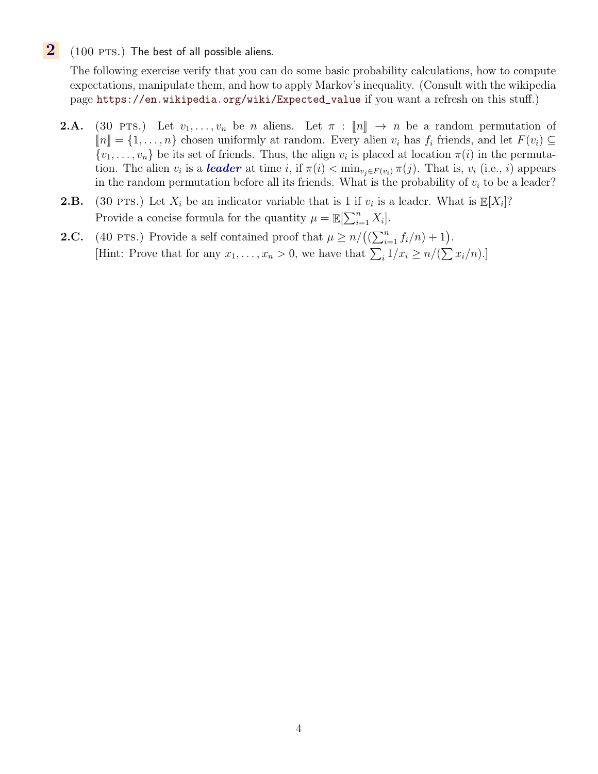$2(100 \text{ PTS.})$  The best of all possible aliens.

The following exercise verify that you can do some basic probability calculations, how to compute expectations, manipulate them, and how to apply Markov's inequality. (Consult with the wikipedia page [https://en.wikipedia.org/wiki/Expected\\_value](https://en.wikipedia.org/wiki/Expected_value) if you want a refresh on this stuff.)

- **2.A.** (30 PTS.) Let  $v_1, \ldots, v_n$  be n aliens. Let  $\pi : [n] \rightarrow n$  be a random permutation of  $\llbracket n \rrbracket = \{1, \ldots, n\}$  chosen uniformly at random. Every alien  $v_i$  has  $f_i$  friends, and let  $F(v_i) \subseteq$  $\{v_1, \ldots, v_n\}$  be its set of friends. Thus, the align  $v_i$  is placed at location  $\pi(i)$  in the permutation. The alien  $v_i$  is a **leader** at time i, if  $\pi(i) < \min_{v_j \in F(v_i)} \pi(j)$ . That is,  $v_i$  (i.e., i) appears in the random permutation before all its friends. What is the probability of  $v_i$  to be a leader?
- **2.B.** (30 PTS.) Let  $X_i$  be an indicator variable that is 1 if  $v_i$  is a leader. What is  $\mathbb{E}[X_i]$ ? Provide a concise formula for the quantity  $\mu = \mathbb{E}[\sum_{i=1}^{n} X_i].$
- **2.C.** (40 PTS.) Provide a self contained proof that  $\mu \ge n/((\sum_{i=1}^n f_i/n) + 1)$ . [Hint: Prove that for any  $x_1, \ldots, x_n > 0$ , we have that  $\sum_i 1/x_i \geq n/(\sum x_i/n)$ .]